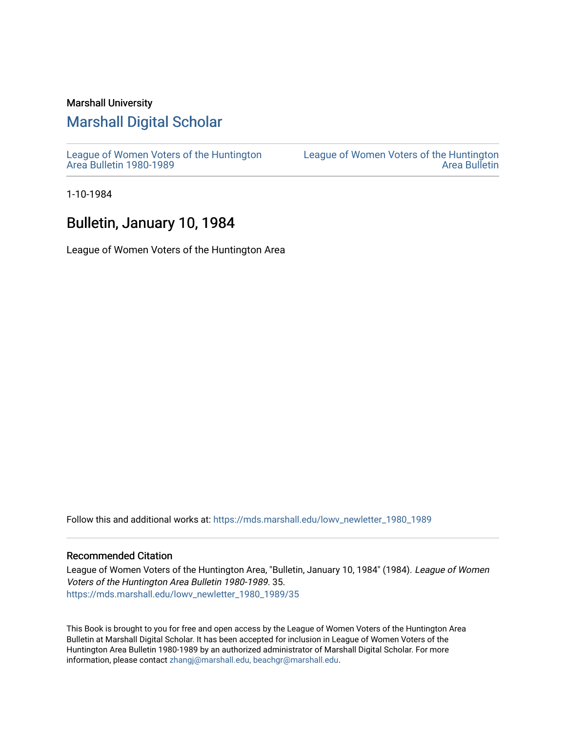### Marshall University

## [Marshall Digital Scholar](https://mds.marshall.edu/)

[League of Women Voters of the Huntington](https://mds.marshall.edu/lowv_newletter_1980_1989) [Area Bulletin 1980-1989](https://mds.marshall.edu/lowv_newletter_1980_1989) 

[League of Women Voters of the Huntington](https://mds.marshall.edu/lowv_newsletter)  [Area Bulletin](https://mds.marshall.edu/lowv_newsletter) 

1-10-1984

### Bulletin, January 10, 1984

League of Women Voters of the Huntington Area

Follow this and additional works at: [https://mds.marshall.edu/lowv\\_newletter\\_1980\\_1989](https://mds.marshall.edu/lowv_newletter_1980_1989?utm_source=mds.marshall.edu%2Flowv_newletter_1980_1989%2F35&utm_medium=PDF&utm_campaign=PDFCoverPages)

### Recommended Citation

League of Women Voters of the Huntington Area, "Bulletin, January 10, 1984" (1984). League of Women Voters of the Huntington Area Bulletin 1980-1989. 35. [https://mds.marshall.edu/lowv\\_newletter\\_1980\\_1989/35](https://mds.marshall.edu/lowv_newletter_1980_1989/35?utm_source=mds.marshall.edu%2Flowv_newletter_1980_1989%2F35&utm_medium=PDF&utm_campaign=PDFCoverPages) 

This Book is brought to you for free and open access by the League of Women Voters of the Huntington Area Bulletin at Marshall Digital Scholar. It has been accepted for inclusion in League of Women Voters of the Huntington Area Bulletin 1980-1989 by an authorized administrator of Marshall Digital Scholar. For more information, please contact [zhangj@marshall.edu, beachgr@marshall.edu](mailto:zhangj@marshall.edu,%20beachgr@marshall.edu).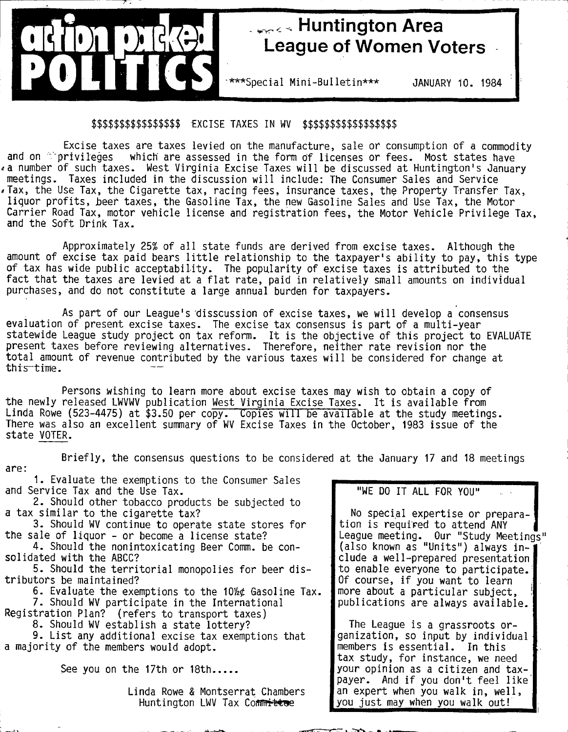

## **Huntington Area League of Women Voters**

\*\*\*\*Special Mini-Bulletin\*\*\* JANUARY 10. 1984

### \$\$\$\$\$\$\$\$\$\$\$\$\$\$\$\$ EXCISE TAXES IN WV \$\$\$\$\$\$\$\$\$\$\$\$\$\$\$\$\$

Excise taxes are taxes levied on the manufacture, sale or consumption of a commodity<br>and on the manufacture, sale or fees. Most states have which are assessed in the form of licenses or fees. Most states have a number of such taxes. West Virginia Excise Taxes will be discussed at Huntington's January meetings. Taxes included in the discussion will include: The Consumer Sales and Service  $\epsilon$  Tax, the Use Tax, the Cigarette tax, racing fees, insurance taxes, the Property Transfer Tax, liquor profits, beer taxes, the Gasoline Tax, the new Gasoline Sales and Use Tax, the Motor Carrier Road Tax, motor vehicle license and registration fees, the Motor Vehicle Privilege Tax, and the Soft Drink Tax.

Approximately 25% of all state funds are derived from excise taxes. Although the amount of excise tax paid bears little relationship to the taxpayer's ability to pay, this type of tax has wide public acceptability. The popularity of excise taxes is attributed to the fact that the taxes are levied at a flat rate, paid in relatively small amounts on individual purchases, and do not constitute a large annual burden for taxpayers.

As part of our League's disscussion of excise taxes, we will develop a consensus evaluation of present excise taxes. The excise tax consensus is part of a multi-year statewide League study project on tax reform. It is the objective of this project to EVALUATE present taxes before reviewing alternatives. Therefore, neither rate revision nor the total amount of revenue contributed by the various taxes will be considered for change at this time.

Persons wishing to learn more about excise taxes may wish to obtain a copy of the newly released LWVWV publication West Virginia Excise Taxes. It is available from Linda Rowe (523-4475) at \$3.50 per copy. Copies will be available at the study meetings. There was also an excellent summary of WV Excise Taxes in the October, 1983 issue of the state VOTER.

Briefly, the consensus questions to be considered at the January 17 and 18 meetings are:

1. Evaluate the exemptions to the Consumer Sales and Service Tax and the Use Tax.

2. Should other tobacco products be subjected to a tax similar to the cigarette tax?

3. Should WV continue to operate state stores for the sale of liquor - or become a license state?

4. Should the nonintoxicating Beer Comm. be consolidated with the ABCC?

5. Should the territorial monopolies for beer distributors be maintained?

6. Evaluate the exemptions to the *Wkt* Gasoline Tax. 7. Should WV participate in the International Registration Plan? (refers to transport taxes)

8. Should WV establish a state lottery?

9. List any additional excise tax exemptions that a majority of the members would adopt.

See you on the 17th or 18th.....

Linda Rowe & Montserrat Chambers Huntington LWV Tax Committee

"WE DO IT ALL FOR YOU"

No special expertise or preparation is required to attend ANY League meeting. Our "Study Meetings" (also known as "Units") always in -' elude a well-prepared presentation to enable everyone to participate. Of course, if you want to learn more about a particular subject, publications are always available.

The League is a grassroots organization, so input by individual members is essential. In this tax study, for instance, we need your opinion as a citizen and taxpayer. And if you don't feel like an expert when you walk in, well, you just may when you walk out!